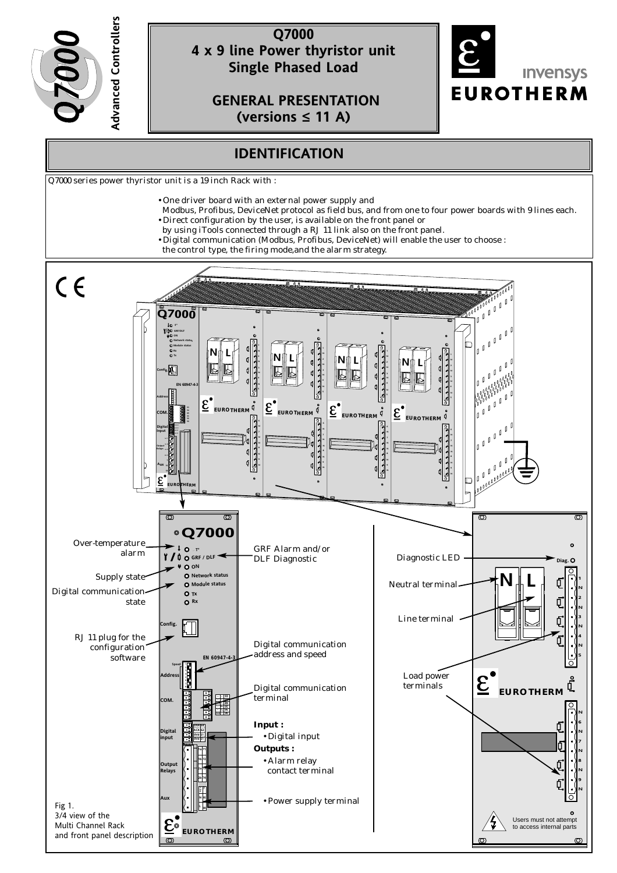

# **Q7000 4 x 9 line Power thyristor unit Single Phased Load**

**GENERAL PRESENTATION (versions ≤ 11 A)** 



# **IDENTIFICATION**

Q7000 series power thyristor unit is a 19 inch Rack with :

- One driver board with an external power supply and
- Modbus, Profibus, DeviceNet protocol as field bus, and from one to four power boards with 9 lines each. • Direct configuration by the user, is available on the front panel or
- by using iTools connected through a RJ 11 link also on the front panel.
- Digital communication (Modbus, Profibus, DeviceNet) will enable the user to choose :
- the control type, the firing mode,and the alarm strategy.

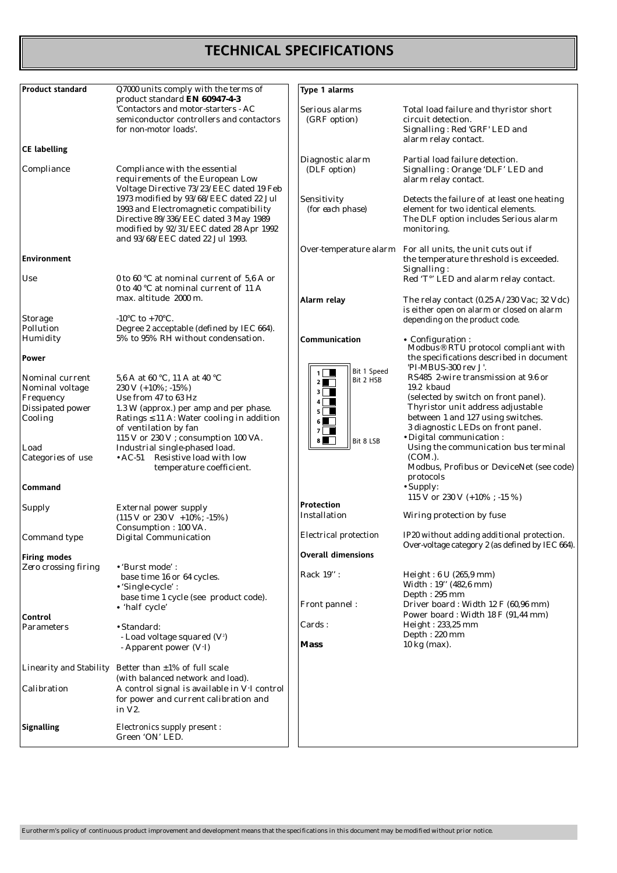# **TECHNICAL SPECIFICATIONS**

| <b>Product standard</b>                                                        | Q7000 units comply with the terms of<br>product standard EN 60947-4-3                                                                                                                                                                    | Type 1 alarms                                                                                                                                     |                                                                                                                                                                                                                                      |
|--------------------------------------------------------------------------------|------------------------------------------------------------------------------------------------------------------------------------------------------------------------------------------------------------------------------------------|---------------------------------------------------------------------------------------------------------------------------------------------------|--------------------------------------------------------------------------------------------------------------------------------------------------------------------------------------------------------------------------------------|
|                                                                                | 'Contactors and motor-starters - AC<br>semiconductor controllers and contactors<br>for non-motor loads'.                                                                                                                                 | Serious alarms<br>(GRF option)                                                                                                                    | Total load failure and thyristor short<br>circuit detection.<br>Signalling: Red 'GRF' LED and                                                                                                                                        |
| <b>CE labelling</b>                                                            |                                                                                                                                                                                                                                          |                                                                                                                                                   | alarm relay contact.                                                                                                                                                                                                                 |
| Compliance                                                                     | Compliance with the essential<br>requirements of the European Low<br>Voltage Directive 73/23/EEC dated 19 Feb                                                                                                                            | Diagnostic alarm<br>(DLF option)                                                                                                                  | Partial load failure detection.<br>Signalling: Orange 'DLF' LED and<br>alarm relay contact.                                                                                                                                          |
|                                                                                | 1973 modified by 93/68/EEC dated 22 Jul<br>1993 and Electromagnetic compatibility<br>Directive 89/336/EEC dated 3 May 1989<br>modified by 92/31/EEC dated 28 Apr 1992<br>and 93/68/EEC dated 22 Jul 1993.                                | Sensitivity<br>(for each phase)                                                                                                                   | Detects the failure of at least one heating<br>element for two identical elements.<br>The DLF option includes Serious alarm<br>monitoring.                                                                                           |
| <b>Environment</b>                                                             |                                                                                                                                                                                                                                          |                                                                                                                                                   | Over-temperature alarm For all units, the unit cuts out if<br>the temperature threshold is exceeded.<br>Signalling:                                                                                                                  |
| Use                                                                            | 0 to 60 °C at nominal current of 5,6 A or<br>0 to 40 °C at nominal current of 11 A                                                                                                                                                       |                                                                                                                                                   | Red 'T°' LED and alarm relay contact.                                                                                                                                                                                                |
| <b>Storage</b>                                                                 | max. altitude 2000 m.<br>-10 $\rm{^{\circ}C}$ to +70 $\rm{^{\circ}C}$ .                                                                                                                                                                  | Alarm relay                                                                                                                                       | The relay contact $(0.25 \text{ A}/230 \text{ Vac}; 32 \text{ Vdc})$<br>is either open on alarm or closed on alarm<br>depending on the product code.                                                                                 |
| Pollution<br>Humidity                                                          | Degree 2 acceptable (defined by IEC 664).<br>5% to 95% RH without condensation.                                                                                                                                                          | Communication                                                                                                                                     |                                                                                                                                                                                                                                      |
| Power                                                                          |                                                                                                                                                                                                                                          |                                                                                                                                                   | • Configuration :<br>Modbus <sup>®</sup> RTU protocol compliant with<br>the specifications described in document<br>'PI-MBUS-300 rev J'.                                                                                             |
| Nominal current<br>Nominal voltage<br>Frequency<br>Dissipated power<br>Cooling | 5,6 A at 60 °C, 11 A at 40 °C<br>230 V (+10%; -15%)<br>Use from 47 to 63 Hz<br>1.3 W (approx.) per amp and per phase.<br>Ratings $\leq$ 11 A: Water cooling in addition<br>of ventilation by fan<br>115 V or 230 V ; consumption 100 VA. | Bit 1 Speed<br>$1 \mid \blacksquare$<br>Bit 2 HSB<br>$2$ $\blacksquare$<br>$3 \mid \blacksquare$<br>4<br>$5 \mid$<br>$6 \blacksquare$<br>$7 \mid$ | RS485 2-wire transmission at 9.6 or<br>19.2 kbaud<br>(selected by switch on front panel).<br>Thyristor unit address adjustable<br>between 1 and 127 using switches.<br>3 diagnostic LEDs on front panel.<br>· Digital communication: |
| Load<br>Categories of use                                                      | Industrial single-phased load.<br>• AC-51 Resistive load with low<br>temperature coefficient.                                                                                                                                            | $8 \Box$<br>Bit 8 LSB                                                                                                                             | Using the communication bus terminal<br>$(COM.)$ .<br>Modbus, Profibus or DeviceNet (see code)<br>protocols                                                                                                                          |
| Command                                                                        |                                                                                                                                                                                                                                          |                                                                                                                                                   | • Supply:<br>115 V or 230 V $(+10\%; -15\%)$                                                                                                                                                                                         |
| Supply                                                                         | <b>External power supply</b><br>$(115 V or 230 V + 10\%; -15\%)$<br>Consumption: 100 VA.                                                                                                                                                 | Protection<br>Installation                                                                                                                        | Wiring protection by fuse                                                                                                                                                                                                            |
| Command type                                                                   | <b>Digital Communication</b>                                                                                                                                                                                                             | Electrical protection                                                                                                                             | IP20 without adding additional protection.<br>Over-voltage category 2 (as defined by IEC 664).                                                                                                                                       |
| <b>Firing modes</b>                                                            |                                                                                                                                                                                                                                          | <b>Overall dimensions</b>                                                                                                                         |                                                                                                                                                                                                                                      |
| Zero crossing firing                                                           | • 'Burst mode':<br>base time 16 or 64 cycles.<br>• 'Single-cycle':<br>base time 1 cycle (see product code).                                                                                                                              | Rack 19":                                                                                                                                         | Height: 6 U (265,9 mm)<br>Width: 19" (482,6 mm)<br>Depth: 295 mm                                                                                                                                                                     |
| Control                                                                        | • 'half cycle'                                                                                                                                                                                                                           | Front pannel:                                                                                                                                     | Driver board: Width 12 F (60,96 mm)<br>Power board: Width 18 F (91,44 mm)                                                                                                                                                            |
| Parameters                                                                     | • Standard:<br>- Load voltage squared $(V^2)$<br>- Apparent power (V·I)                                                                                                                                                                  | Cards:<br><b>Mass</b>                                                                                                                             | Height: 233,25 mm<br>Depth: 220 mm<br>10 kg (max).                                                                                                                                                                                   |
|                                                                                | Linearity and Stability Better than $\pm 1\%$ of full scale<br>(with balanced network and load).                                                                                                                                         |                                                                                                                                                   |                                                                                                                                                                                                                                      |
| Calibration                                                                    | A control signal is available in V.I control<br>for power and current calibration and<br>in V2.                                                                                                                                          |                                                                                                                                                   |                                                                                                                                                                                                                                      |
| <b>Signalling</b>                                                              | Electronics supply present :<br>Green 'ON' LED.                                                                                                                                                                                          |                                                                                                                                                   |                                                                                                                                                                                                                                      |

Eurotherm's policy of continuous product improvement and development means that the specifications in this document may be modified without prior notice.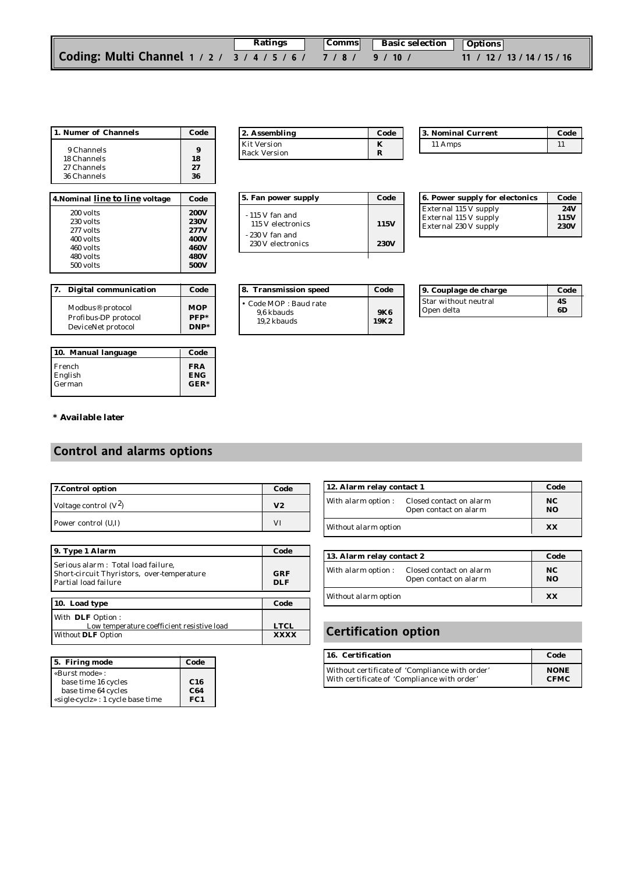|                                                                | Ratings | Comms Basic selection Options |                             |
|----------------------------------------------------------------|---------|-------------------------------|-----------------------------|
| Coding: Multi Channel 1 / 2 / 3 / 4 / 5 / 6 / 7 / 8 / 9 / 10 / |         |                               | 11 / 12 / 13 / 14 / 15 / 16 |

| 1. Numer of Channels                                    | Code           |
|---------------------------------------------------------|----------------|
| 9 Channels<br>18 Channels<br>27 Channels<br>36 Channels | 18<br>27<br>36 |

| 4. Nominal line to line voltage | Code        |
|---------------------------------|-------------|
| 200 volts                       | <b>200V</b> |
| 230 volts                       | <b>230V</b> |
| 277 volts                       | 277V        |
| 400 volts                       | 400V        |
| 460 volts                       | <b>460V</b> |
| 480 volts                       | <b>480V</b> |
| 500 volts                       | 500V        |

| 7. | <b>Digital communication</b>                                               | Code                            |
|----|----------------------------------------------------------------------------|---------------------------------|
|    | Modbus <sup>®</sup> protocol<br>Profibus-DP protocol<br>DeviceNet protocol | <b>MOP</b><br>$PFP*$<br>$DNP^*$ |

| 10. Manual language | Code       |
|---------------------|------------|
| French              | <b>FRA</b> |
| English             | <b>ENG</b> |
| German              | $GER*$     |

| 12. Assembling      | Code |
|---------------------|------|
| <b>Kit Version</b>  |      |
| <b>Rack Version</b> |      |

**5. Fan power supply Code**

115 V electronics **115V**

230 V electronics **230V**

**8. Transmission speed Code** 

9,6 kbauds **9K6** 19,2 kbauds **19K2**

• Code *MOP* : Baud rate

- 115 V fan and

- 230 V fan and

| 3. Nominal Current | Code |
|--------------------|------|
| 11 Amps            |      |

| 6. Power supply for electonics | Code        |
|--------------------------------|-------------|
| <b>External 115 V supply</b>   | <b>24V</b>  |
| <b>External 115 V supply</b>   | 115V        |
| <b>External 230 V supply</b>   | <b>230V</b> |
|                                |             |

| 9. Couplage de charge | Code |
|-----------------------|------|
| Star without neutral  | 48   |
| Open delta            | 6D   |

#### **\* Available later**

# **Control and alarms options**

| 7. Control option       | Code |
|-------------------------|------|
| Voltage control $(V^2)$ | V2   |
| Power control (U,I)     | V٦   |

| 9. Type 1 Alarm                                                                                          | Code              |
|----------------------------------------------------------------------------------------------------------|-------------------|
| Serious alarm: Total load failure,<br>Short-circuit Thyristors, over-temperature<br>Partial load failure | GRF<br><b>DLF</b> |
|                                                                                                          |                   |
| 10. Load type                                                                                            | Code              |
| With DLF Option:<br>Low temperature coefficient resistive load                                           | <b>LTCL</b>       |
| <b>Without DLF Option</b>                                                                                | <b>YYYY</b>       |

| 5. Firing mode                    | Code |
|-----------------------------------|------|
| «Burst mode» :                    |      |
| base time 16 cycles               | C16  |
| base time 64 cycles               | C64  |
| «sigle-cyclz» : 1 cycle base time | FC1  |

| 12. Alarm relay contact 1 |                                                  | Code                  |
|---------------------------|--------------------------------------------------|-----------------------|
| With alarm option:        | Closed contact on alarm<br>Open contact on alarm | NC.<br>N <sub>O</sub> |
| Without alarm option      |                                                  | XX                    |

| 13. Alarm relay contact 2 |                                                  | Code                  |
|---------------------------|--------------------------------------------------|-----------------------|
| With alarm option:        | Closed contact on alarm<br>Open contact on alarm | NC.<br>N <sub>O</sub> |
| Without alarm option      |                                                  | XX                    |

# **Certification option**

| 16. Certification                              | Code        |
|------------------------------------------------|-------------|
| Without certificate of 'Compliance with order' | <b>NONE</b> |
| With certificate of 'Compliance with order'    | <b>CFMC</b> |